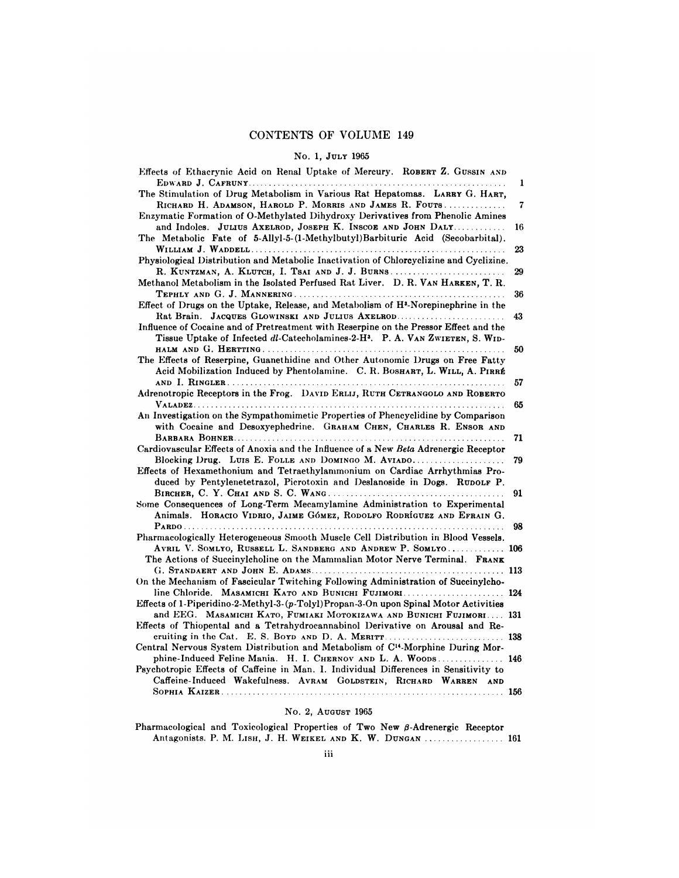# CONTENTS OF VOLUME 149<br>No. 1, July 1965

| No. 1, JULY 1965                                                                                                                                       |    |
|--------------------------------------------------------------------------------------------------------------------------------------------------------|----|
| Effects of Ethacrynic Acid on Renal Uptake of Mercury. ROBERT Z. GUSSIN AND                                                                            |    |
|                                                                                                                                                        | 1  |
| The Stimulation of Drug Metabolism in Various Rat Hepatomas. LARRY G. HART,                                                                            |    |
| RICHARD H. ADAMSON, HAROLD P. MORRIS AND JAMES R. FOUTS                                                                                                | 7  |
| Enzymatic Formation of O-Methylated Dihydroxy Derivatives from Phenolic Amines                                                                         |    |
| and Indoles. JULIUS AXELROD, JOSEPH K. INSCOE AND JOHN DALT                                                                                            | 16 |
| The Metabolic Fate of 5-Allyl-5-(1-Methylbutyl) Barbituric Acid (Secobarbital).                                                                        |    |
|                                                                                                                                                        | 23 |
| Physiological Distribution and Metabolic Inactivation of Chloreyclizine and Cyclizine.                                                                 |    |
| R. KUNTZMAN, A. KLUTCH, I. TSAI AND J. J. BURNS                                                                                                        | 29 |
| Methanol Metabolism in the Isolated Perfused Rat Liver. D. R. VAN HARKEN, T. R.                                                                        |    |
| Effect of Drugs on the Uptake, Release, and Metabolism of H <sup>3</sup> -Norepinephrine in the                                                        | 36 |
| Rat Brain. JACQUES GLOWINSKI AND JULIUS AXELROD                                                                                                        | 43 |
| Influence of Cocaine and of Pretreatment with Reserpine on the Pressor Effect and the                                                                  |    |
| Tissue Uptake of Infected dl-Catecholamines-2-H <sup>3</sup> . P. A. VAN ZWIETEN, S. WID-                                                              |    |
|                                                                                                                                                        | 50 |
| The Effects of Reserpine, Guanethidine and Other Autonomic Drugs on Free Fatty                                                                         |    |
| Acid Mobilization Induced by Phentolamine. C. R. BOSHART, L. WILL, A. PIRRÉ                                                                            |    |
|                                                                                                                                                        | 57 |
| Adrenotropic Receptors in the Frog. DAVID ERLIJ, RUTH CETRANGOLO AND ROBERTO                                                                           |    |
|                                                                                                                                                        | 65 |
| An Investigation on the Sympathomimetic Properties of Phencyclidine by Comparison                                                                      |    |
| with Cocaine and Desoxyephedrine. GRAHAM CHEN, CHARLES R. ENSOR AND                                                                                    |    |
|                                                                                                                                                        | 71 |
| Cardiovascular Effects of Anoxia and the Influence of a New Beta Adrenergic Receptor                                                                   |    |
| Blocking Drug. Luis E. FOLLE AND DOMINGO M. AVIADO<br>Effects of Hexamethonium and Tetraethylammonium on Cardiac Arrhythmias Pro-                      | 79 |
| duced by Pentylenetetrazol, Picrotoxin and Deslanoside in Dogs. RUDOLF P.                                                                              |    |
|                                                                                                                                                        | 91 |
| Some Consequences of Long-Term Mecamylamine Administration to Experimental                                                                             |    |
| Animals. HORACIO VIDRIO, JAIME GÓMEZ, RODOLFO RODRÍGUEZ AND EFRAIN G.                                                                                  |    |
|                                                                                                                                                        | 98 |
| Pharmacologically Heterogeneous Smooth Muscle Cell Distribution in Blood Vessels.                                                                      |    |
| AVRIL V. SOMLYO, RUSSELL L. SANDBERG AND ANDREW P. SOMLYO 106                                                                                          |    |
| The Actions of Succinylcholine on the Mammalian Motor Nerve Terminal. FRANK                                                                            |    |
|                                                                                                                                                        |    |
| On the Mechanism of Fascicular Twitching Following Administration of Succinylcho-                                                                      |    |
| line Chloride. MASAMICHI KATO AND BUNICHI FUJIMORI 124                                                                                                 |    |
| Effects of 1-Piperidino-2-Methyl-3-(p-Tolyl) Propan-3-On upon Spinal Motor Activities                                                                  |    |
| and EEG. MASAMICHI KATO, FUMIAKI MOTOKIZAWA AND BUNICHI FUJIMORI 131<br>Effects of Thiopental and a Tetrahydrocannabinol Derivative on Arousal and Re- |    |
| cruiting in the Cat. E. S. BOYD AND D. A. MERITT.                                                                                                      |    |
| Central Nervous System Distribution and Metabolism of C <sup>14</sup> -Morphine During Mor-                                                            |    |
| phine-Induced Feline Mania. H. I. CHERNOV AND L. A. WOODS 146                                                                                          |    |
| Psychotropic Effects of Caffeine in Man. I. Individual Differences in Sensitivity to                                                                   |    |
| Caffeine-Induced Wakefulness. AVRAM GOLDSTEIN, RICHARD WARREN AND                                                                                      |    |
|                                                                                                                                                        |    |

Pharmacological and Toxicological Properties of Two New \$-Adrenergic Receptor Antagonists. P. M. LISH, J. H. WEIKEL **AND** K. W. **DUNGAN** <sup>161</sup>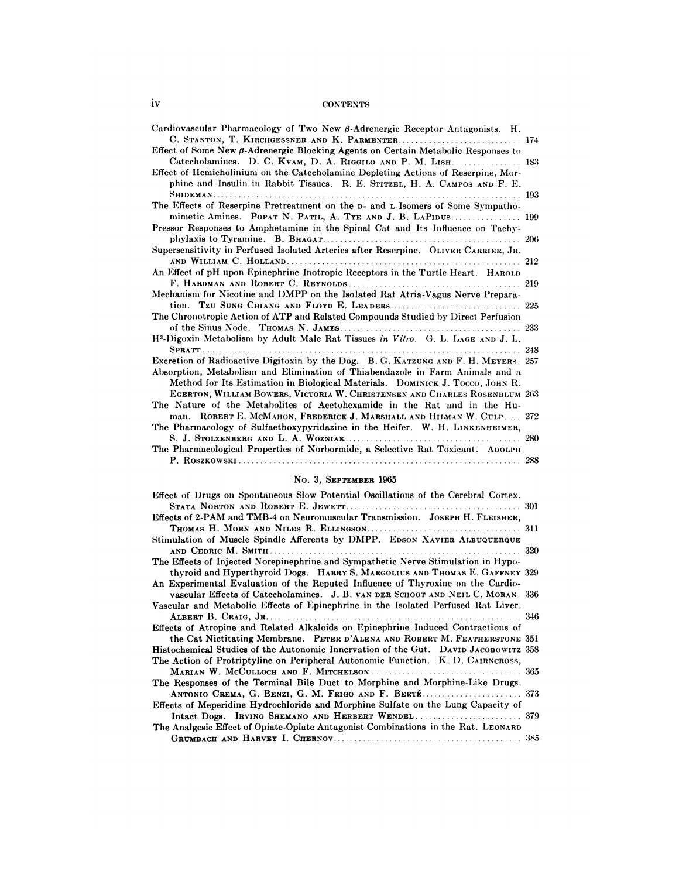# **CONTENTS**

| Cardiovascular Pharmacology of Two New $\beta$ -Adrenergic Receptor Antagonists. H.         |     |
|---------------------------------------------------------------------------------------------|-----|
| C. STANTON, T. KIRCHGESSNER AND K. PARMENTER 174                                            |     |
| Effect of Some New $\beta$ -Adrenergic Blocking Agents on Certain Metabolic Responses to    |     |
| Catecholamines. D. C. KVAM, D. A. RIGGILO AND P. M. LISH 183                                |     |
| Effect of Hemicholinium on the Catecholamine Depleting Actions of Reserpine, Mor-           |     |
| phine and Insulin in Rabbit Tissues. R. E. STITZEL, H. A. CAMPOS AND F. E.                  |     |
|                                                                                             | 193 |
| The Effects of Reserpine Pretreatment on the D- and L-Isomers of Some Sympatho-             |     |
| mimetic Amines. POPAT N. PATIL, A. TYE AND J. B. LAPIDUS 199                                |     |
| Pressor Responses to Amphetamine in the Spinal Cat and Its Influence on Tachy-              |     |
|                                                                                             | 206 |
| Supersensitivity in Perfused Isolated Arteries after Reserpine. OLIVER CARRIER, JR.         |     |
|                                                                                             | 212 |
| An Effect of pH upon Epinephrine Inotropic Receptors in the Turtle Heart. HAROLD            |     |
|                                                                                             | 219 |
| Mechanism for Nicotine and DMPP on the Isolated Rat Atria-Vagus Nerve Prepara-              |     |
|                                                                                             | 225 |
| The Chronotropic Action of ATP and Related Compounds Studied by Direct Perfusion            |     |
|                                                                                             | 233 |
| H <sup>3</sup> -Digoxin Metabolism by Adult Male Rat Tissues in Vitro. G. L. LAGE AND J. L. |     |
|                                                                                             | 248 |
| Excretion of Radioactive Digitoxin by the Dog. B. G. KATZUNG AND F. H. MEYERS. 257          |     |
| Absorption, Metabolism and Elimination of Thiabendazole in Farm Animals and a               |     |
| Method for Its Estimation in Biological Materials. DOMINICK J. TOCCO, JOHN R.               |     |
| EGERTON, WILLIAM BOWERS, VICTORIA W. CHRISTENSEN AND CHARLES ROSENBLUM 263                  |     |
| The Nature of the Metabolites of Acetohexamide in the Rat and in the Hu-                    |     |
| man. ROBERT E. MCMAHON, FREDERICK J. MARSHALL AND HILMAN W. CULP 272                        |     |
| The Pharmacology of Sulfaethoxypyridazine in the Heifer. W. H. LINKENHEIMER,                |     |
|                                                                                             | 280 |
| The Pharmacological Properties of Norbormide, a Selective Rat Toxicant. ADOLPH              |     |
|                                                                                             |     |

## No. 3, SEPTEMBER 1965

| 110. O. DEPIEMBER 1900                                                              |     |
|-------------------------------------------------------------------------------------|-----|
| Effect of Drugs on Spontaneous Slow Potential Oscillations of the Cerebral Cortex.  |     |
| Effects of 2-PAM and TMB-4 on Neuromuscular Transmission. JOSEPH H. FLEISHER,       |     |
|                                                                                     |     |
| Stimulation of Muscle Spindle Afferents by DMPP. EDSON XAVIER ALBUQUERQUE           |     |
|                                                                                     |     |
| The Effects of Injected Norepinephrine and Sympathetic Nerve Stimulation in Hypo-   |     |
| thyroid and Hyperthyroid Dogs. HARRY S. MARGOLIUS AND THOMAS E. GAFFNEY 329         |     |
| An Experimental Evaluation of the Reputed Influence of Thyroxine on the Cardio-     |     |
| vascular Effects of Catecholamines. J. B. VAN DER SCHOOT AND NEIL C. MORAN. 336     |     |
| Vascular and Metabolic Effects of Epinephrine in the Isolated Perfused Rat Liver.   |     |
|                                                                                     |     |
| Effects of Atropine and Related Alkaloids on Epinephrine Induced Contractions of    |     |
| the Cat Nictitating Membrane. PETER D'ALENA AND ROBERT M. FEATHERSTONE 351          |     |
| Histochemical Studies of the Autonomic Innervation of the Gut. DAVID JACOBOWITZ 358 |     |
| The Action of Protriptyline on Peripheral Autonomic Function. K. D. CAIRNCROSS,     |     |
|                                                                                     |     |
| The Responses of the Terminal Bile Duct to Morphine and Morphine-Like Drugs.        |     |
| ANTONIO CREMA, G. BENZI, G. M. FRIGO AND F. BERTÉ 373                               |     |
| Effects of Meperidine Hydrochloride and Morphine Sulfate on the Lung Capacity of    |     |
|                                                                                     |     |
| The Analgesic Effect of Opiate-Opiate Antagonist Combinations in the Rat. LEONARD   |     |
|                                                                                     | 385 |
|                                                                                     |     |